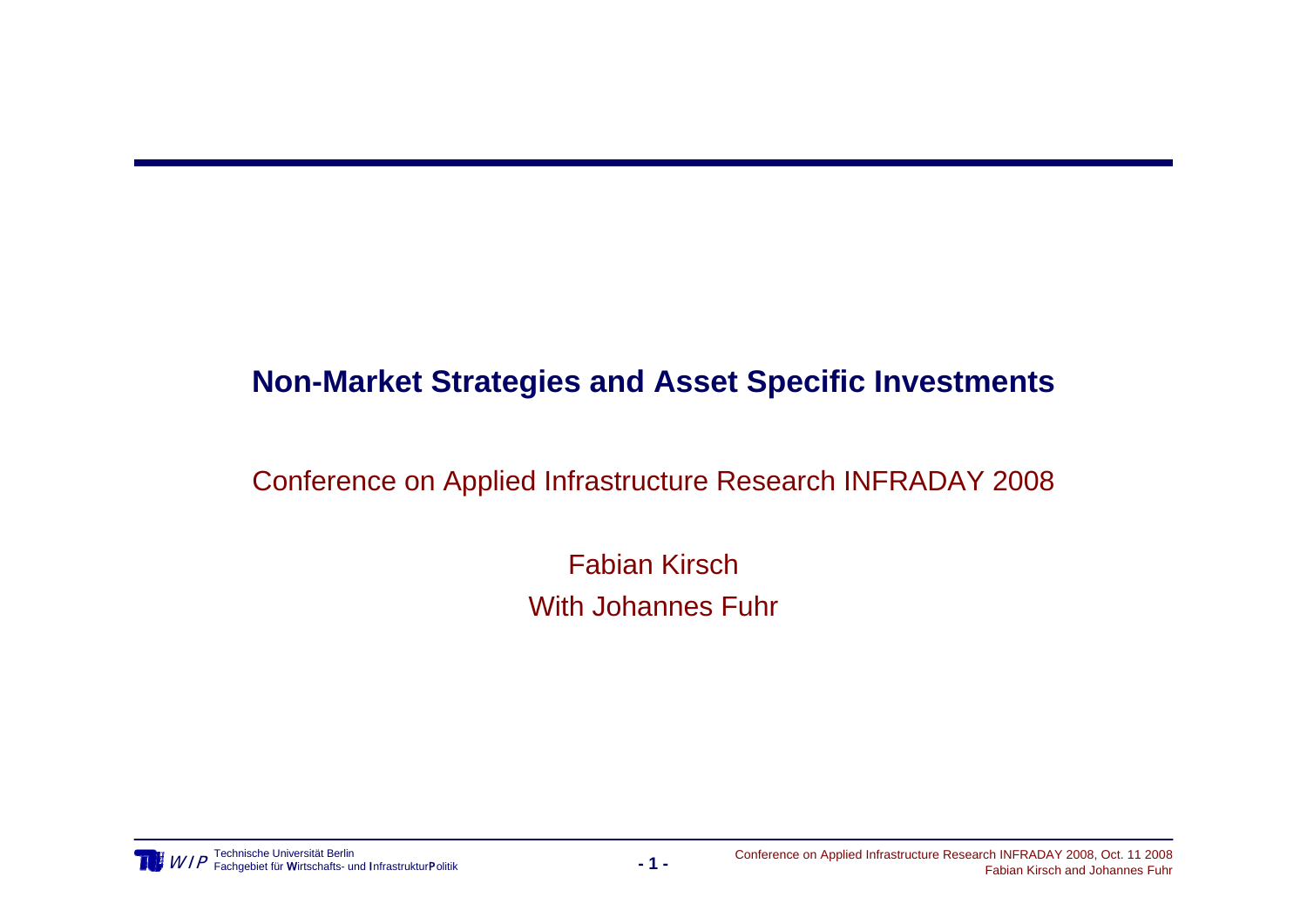### **Non-Market Strategies and Asset Specific Investments**

### Conference on Applied Infrastructure Research INFRADAY 2008

Fabian KirschWith Johannes Fuhr

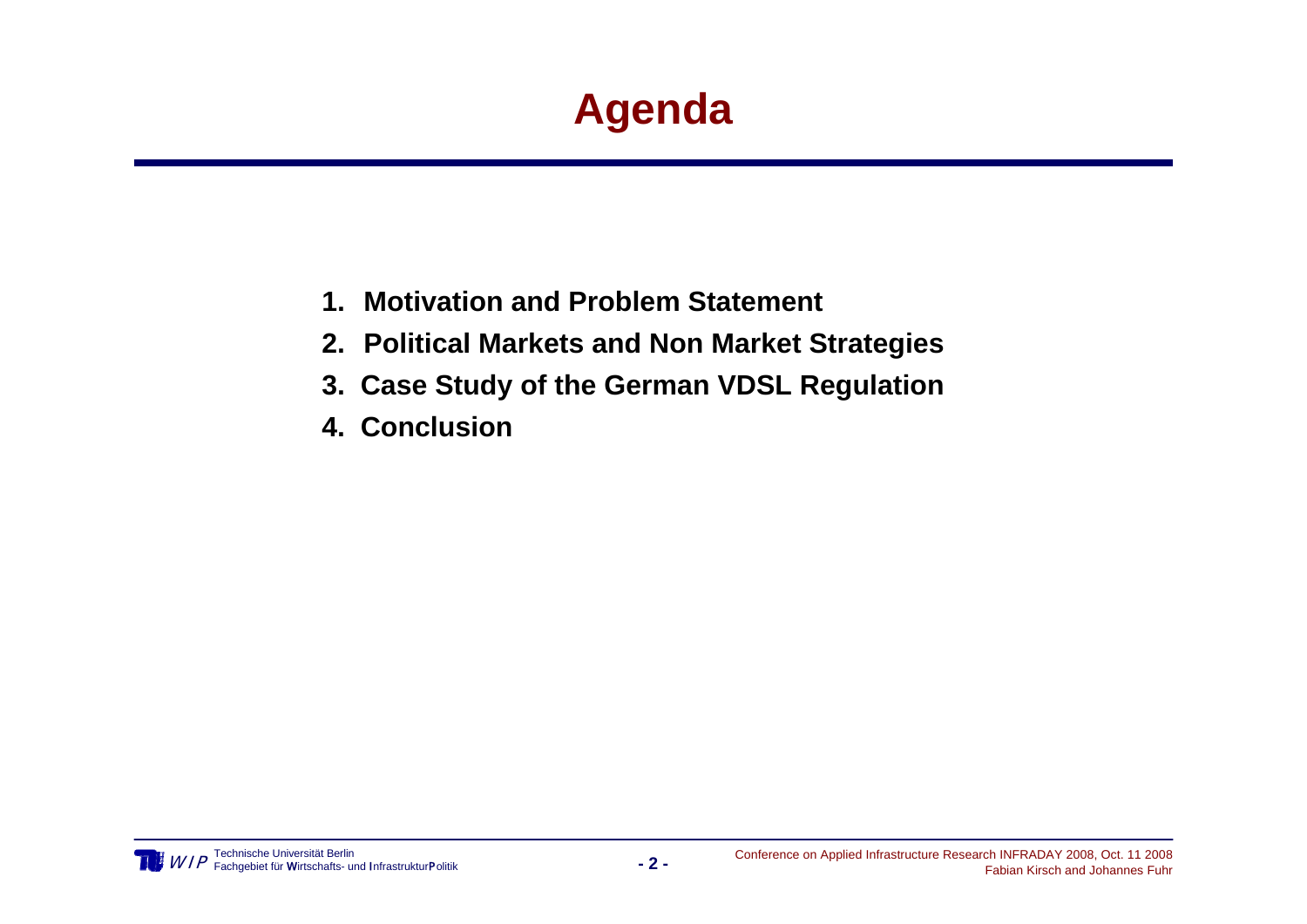# **Agenda**

- **1. Motivation and Problem Statement**
- **2. Political Markets and Non Market Strategies**
- **3. Case Study of the German VDSL Regulation**
- **4. Conclusion**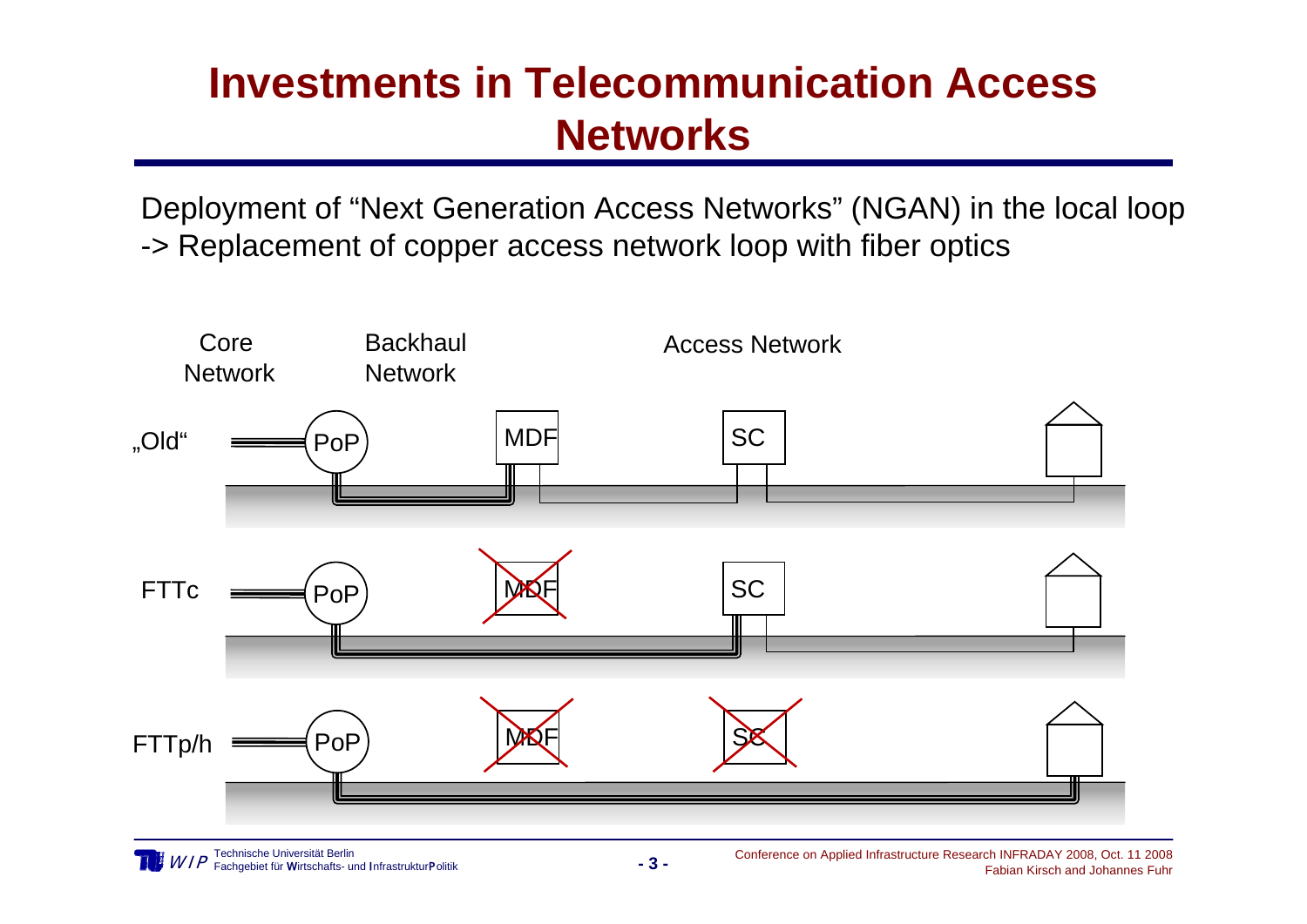## **Investments in Telecommunication Access Networks**

Deployment of "Next Generation Access Networks" (NGAN) in the local loop -> Replacement of copper access network loop with fiber optics

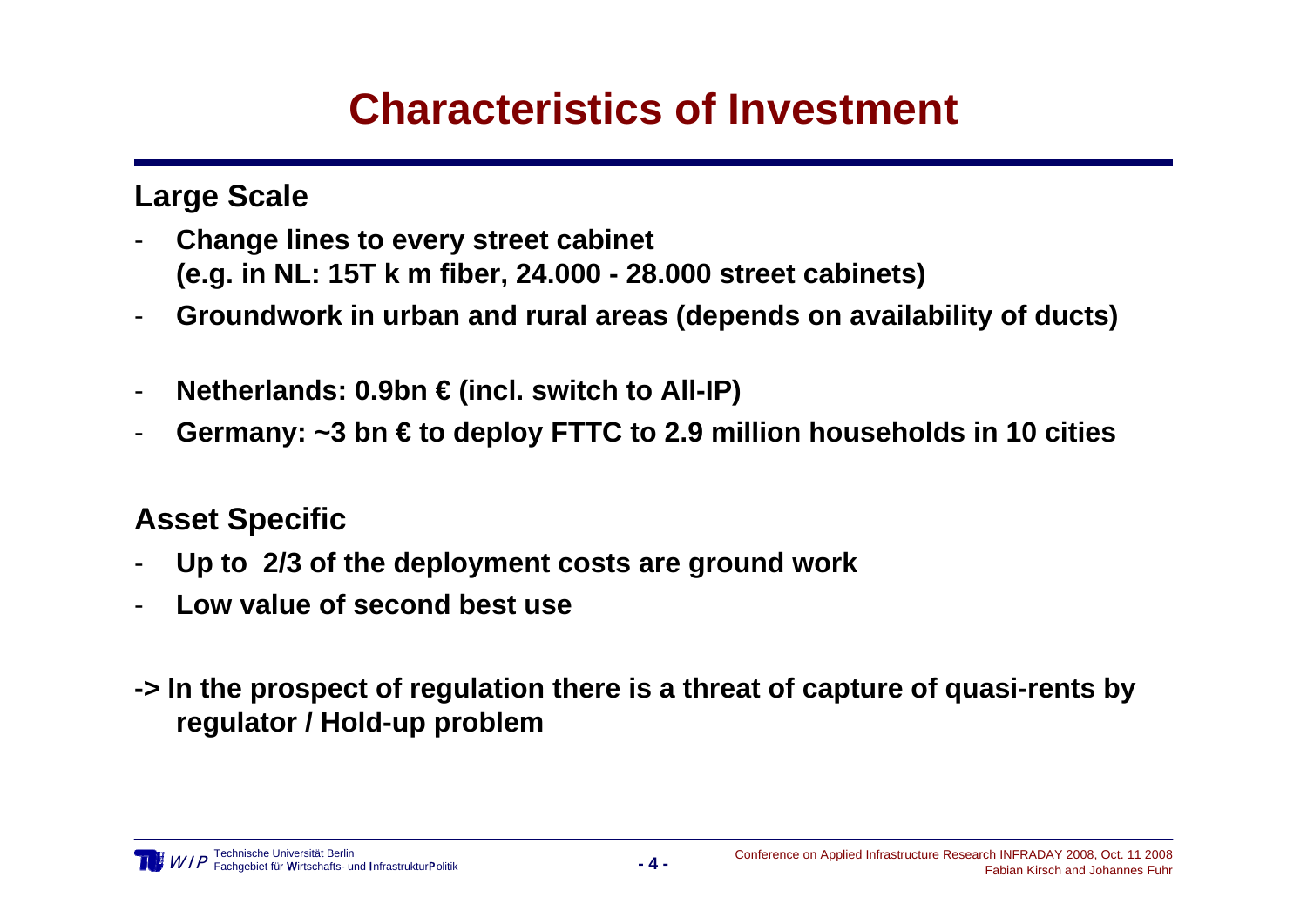## **Characteristics of Investment**

### **Large Scale**

- - **Change lines to every street cabinet (e.g. in NL: 15T k m fiber, 24.000 - 28.000 street cabinets)**
- -**Groundwork in urban and rural areas (depends on availability of ducts)**
- -**Netherlands: 0.9bn € (incl. switch to All-IP)**
- -**Germany: ~3 bn € to deploy FTTC to 2.9 million households in 10 cities**

### **Asset Specific**

- -**Up to 2/3 of the deployment costs are ground work**
- -**Low value of second best use**
- **-> In the prospect of regulation there is a threat of capture of quasi-rents by regulator / Hold-up problem**

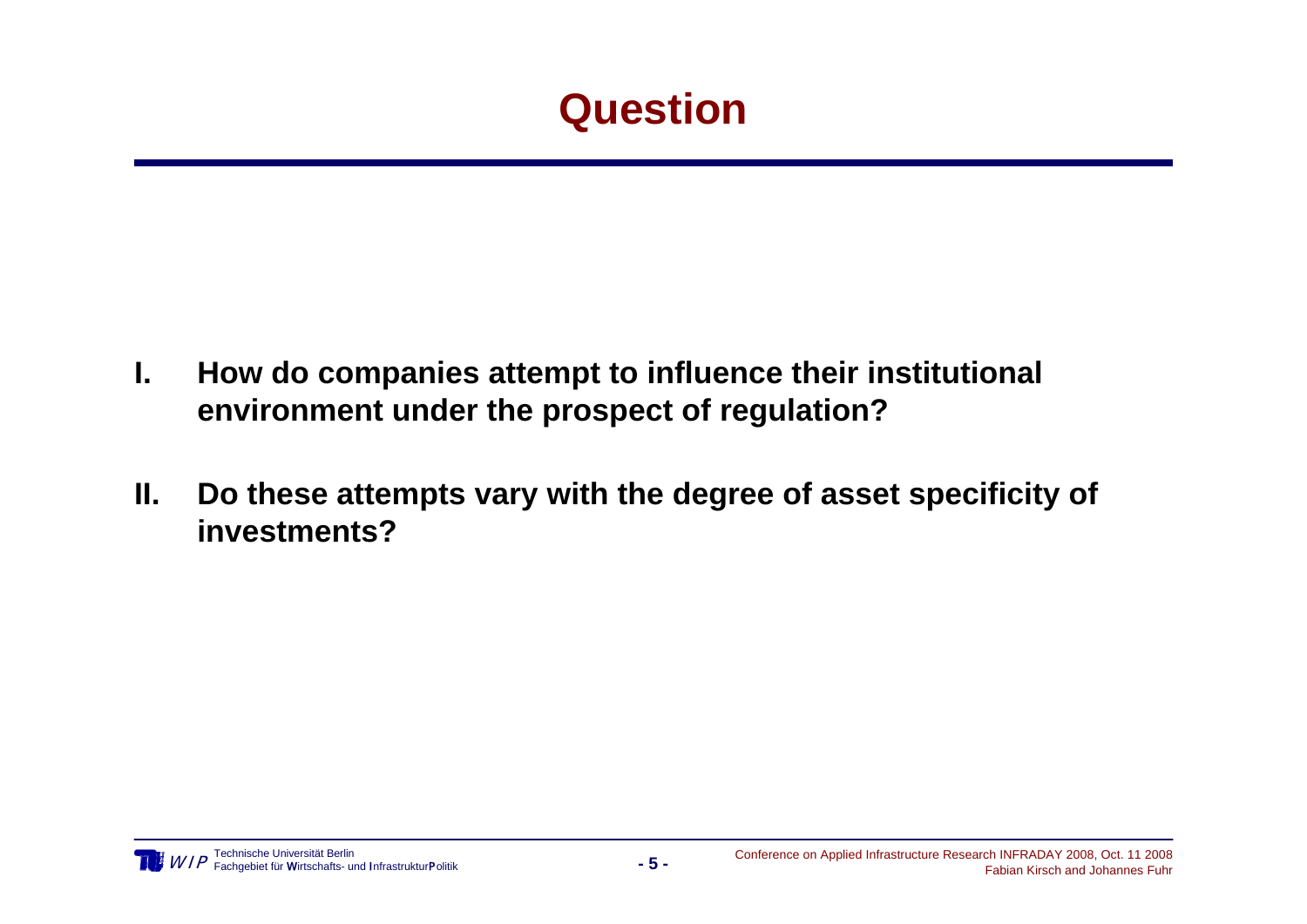## **Question**

- **I. How do companies attempt to influence their institutional environment under the prospect of regulation?**
- **II. Do these attempts vary with the degree of asset specificity of investments?**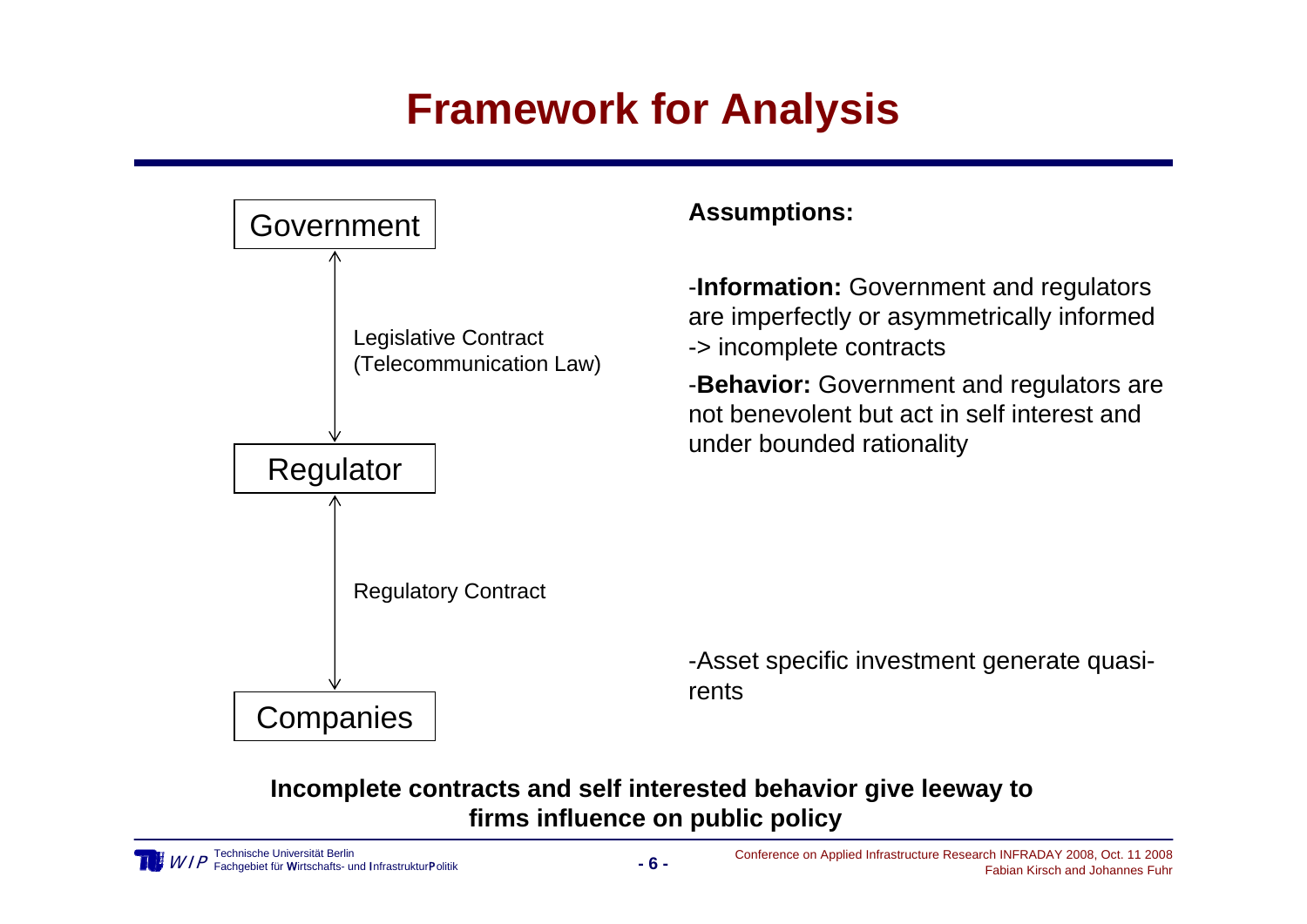## **Framework for Analysis**



#### **Incomplete contracts and self interested behavior give leeway to firms influence on public policy**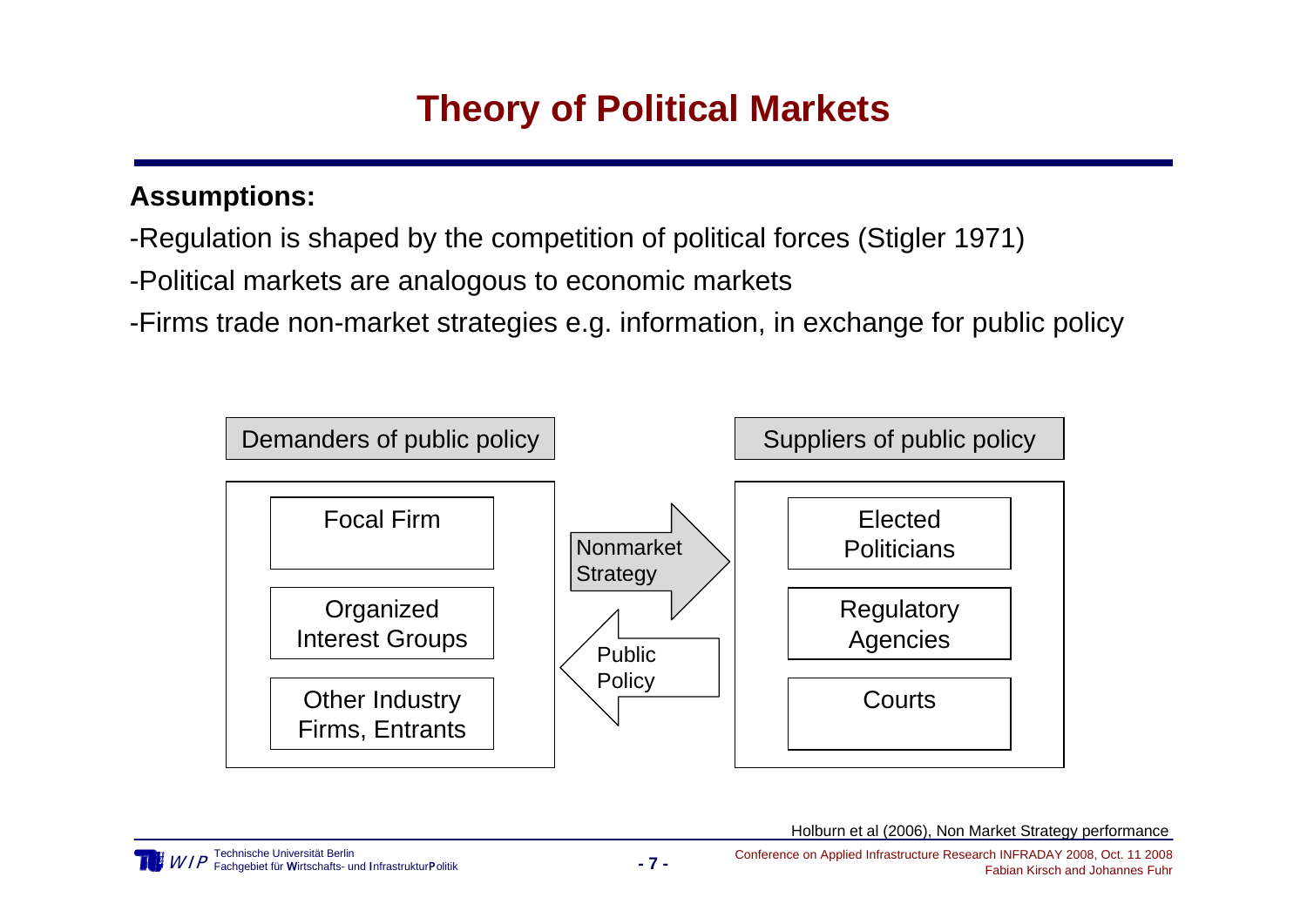### **Theory of Political Markets**

#### **Assumptions:**

- -Regulation is shaped by the competition of political forces (Stigler 1971)
- -Political markets are analogous to economic markets
- -Firms trade non-market strategies e.g. information, in exchange for public policy

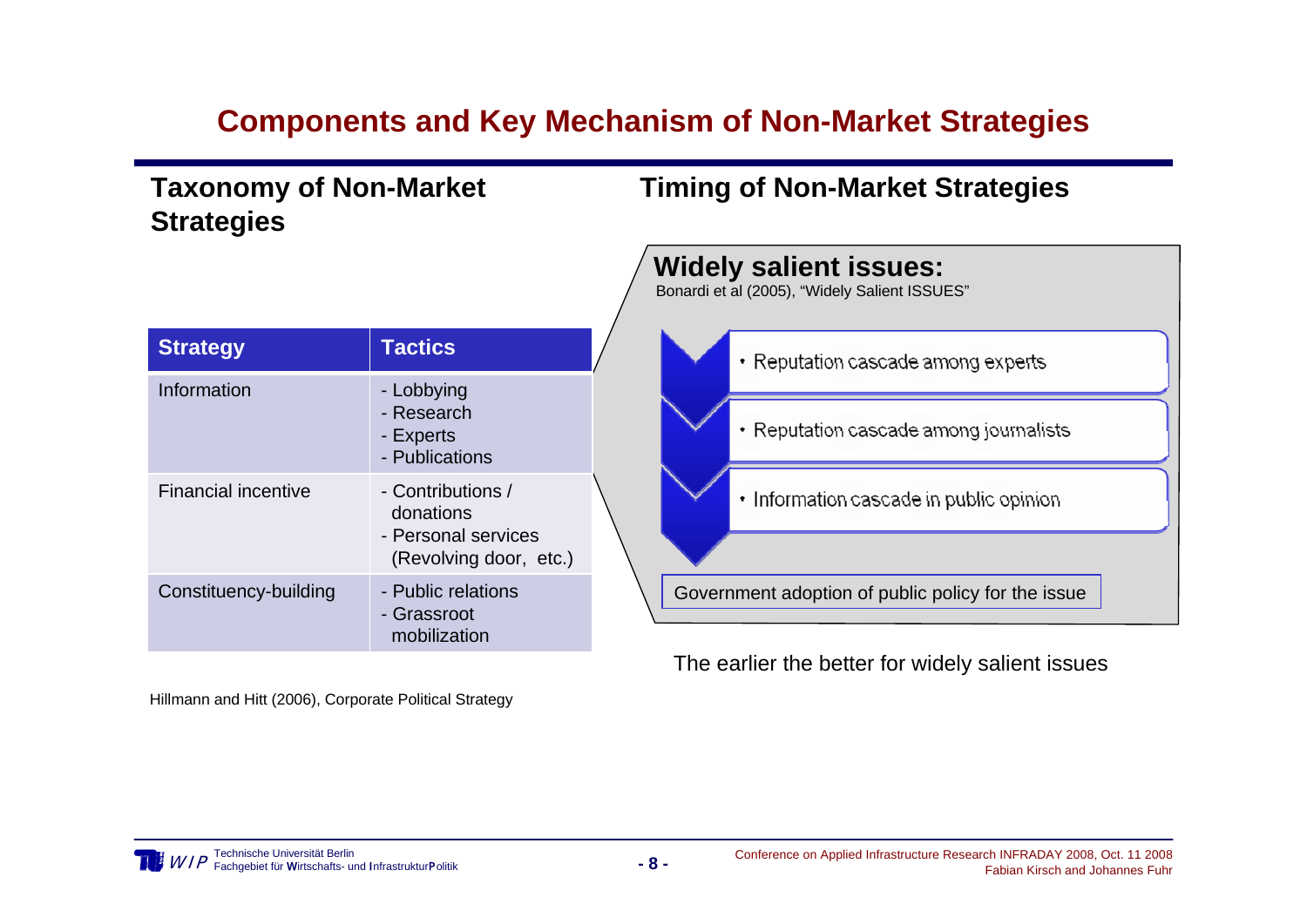### **Components and Key Mechanism of Non-Market Strategies**

**Taxonomy of Non-Market Strategies**

#### **Timing of Non-Market Strategies**

| <b>Strategy</b>            | <b>Tactics</b>                                                                  |  |
|----------------------------|---------------------------------------------------------------------------------|--|
| Information                | - Lobbying<br>- Research<br>- Experts<br>- Publications                         |  |
| <b>Financial incentive</b> | - Contributions /<br>donations<br>- Personal services<br>(Revolving door, etc.) |  |
| Constituency-building      | - Public relations<br>- Grassroot<br>mobilization                               |  |

Hillmann and Hitt (2006), Corporate Political Strategy



The earlier the better for widely salient issues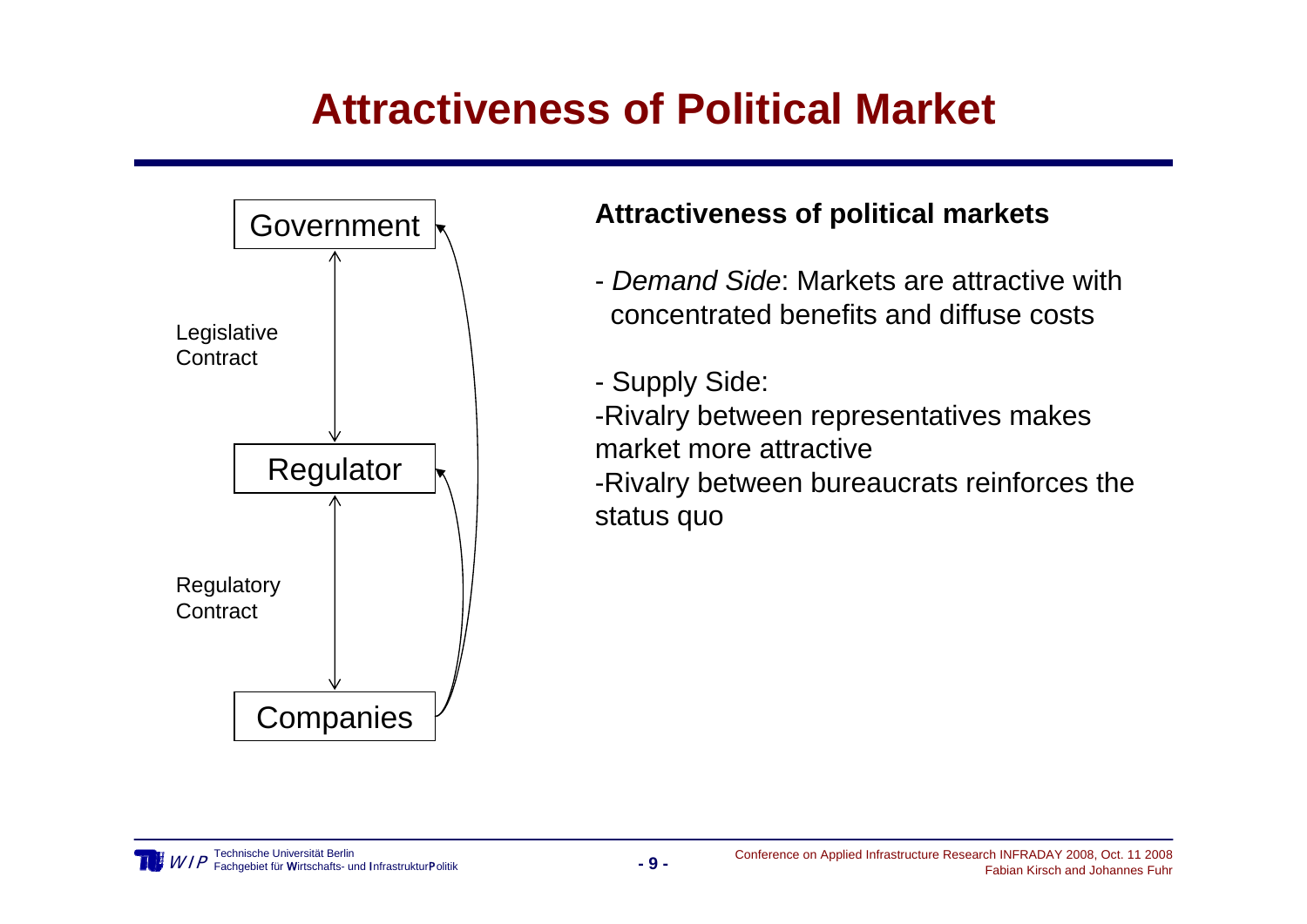## **Attractiveness of Political Market**



### **Attractiveness of political markets**

- *Demand Side*: Markets are attractive with concentrated benefits and diffuse costs
- Supply Side:

-Rivalry between representatives makes market more attractive

-Rivalry between bureaucrats reinforces the status quo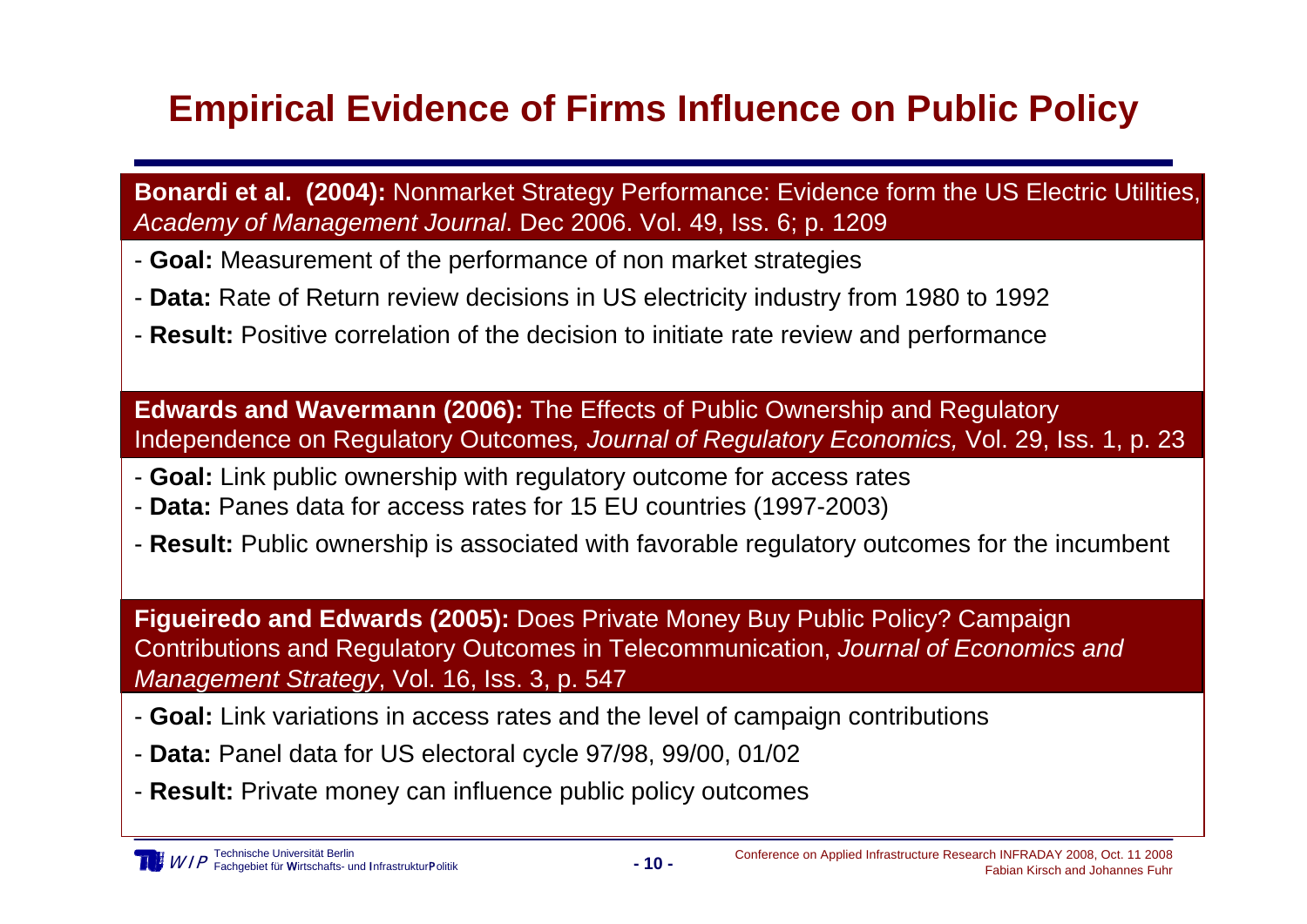### **Empirical Evidence of Firms Influence on Public Policy**

**Bonardi et al. (2004):** Nonmarket Strategy Performance: Evidence form the US Electric Utilities, *Academy of Management Journal*. Dec 2006. Vol. 49, Iss. 6; p. 1209

- **Goal:** Measurement of the performance of non market strategies
- **Data:** Rate of Return review decisions in US electricity industry from 1980 to 1992
- **Result:** Positive correlation of the decision to initiate rate review and performance

**Edwards and Wavermann (2006):** The Effects of Public Ownership and Regulatory Independence on Regulatory Outcomes*, Journal of Regulatory Economics,* Vol. 29, Iss. 1, p. 23

- **Goal:** Link public ownership with regulatory outcome for access rates
- **Data:** Panes data for access rates for 15 EU countries (1997-2003)
- **Result:** Public ownership is associated with favorable regulatory outcomes for the incumbent

**Figueiredo and Edwards (2005):** Does Private Money Buy Public Policy? Campaign Contributions and Regulatory Outcomes in Telecommunication, *Journal of Economics and Management Strategy*, Vol. 16, Iss. 3, p. 547

- **Goal:** Link variations in access rates and the level of campaign contributions
- **Data:** Panel data for US electoral cycle 97/98, 99/00, 01/02
- **Result:** Private money can influence public policy outcomes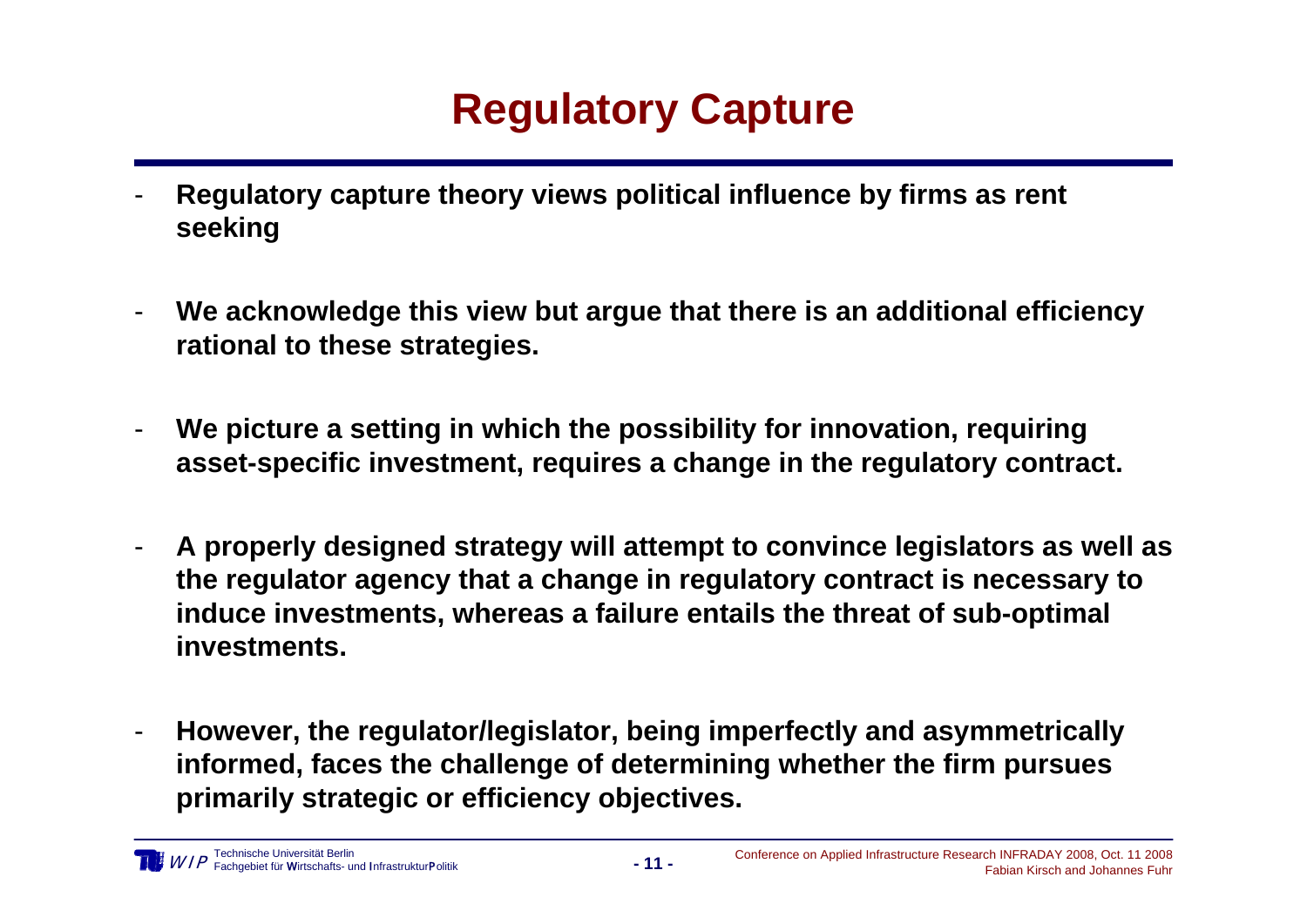## **Regulatory Capture**

- - **Regulatory capture theory views political influence by firms as rent seeking**
- - **We acknowledge this view but argue that there is an additional efficiency rational to these strategies.**
- - **We picture a setting in which the possibility for innovation, requiring asset-specific investment, requires a change in the regulatory contract.**
- - **A properly designed strategy will attempt to convince legislators as well as the regulator agency that a change in regulatory contract is necessary to induce investments, whereas a failure entails the threat of sub-optimal investments.**
- - **However, the regulator/legislator, being imperfectly and asymmetrically informed, faces the challenge of determining whether the firm pursues primarily strategic or efficiency objectives.**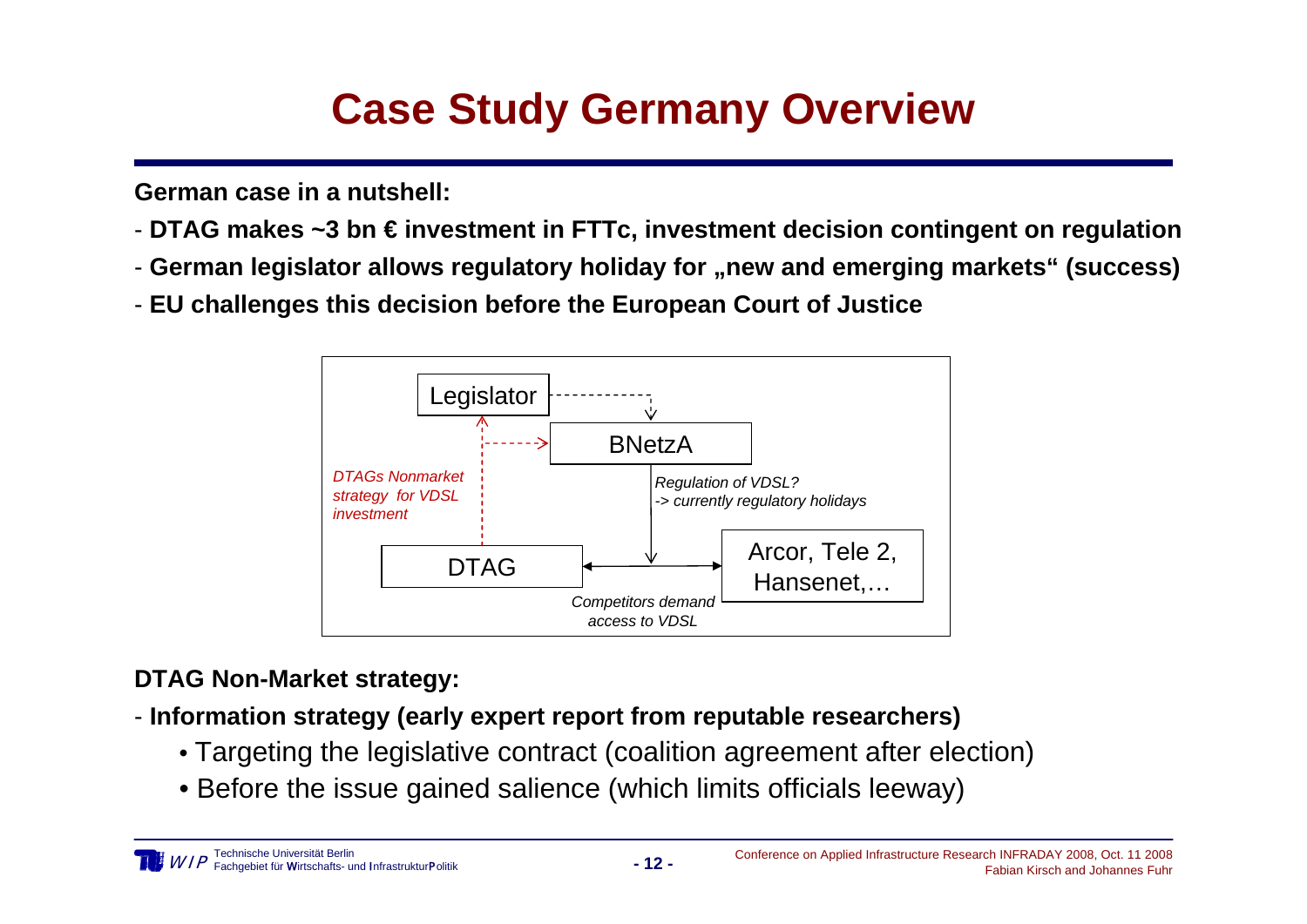# **Case Study Germany Overview**

**German case in a nutshell:**

- **DTAG makes ~3 bn € investment in FTTc, investment decision contingent on regulation**
- **German legislator allows regulatory holiday for "new and emerging markets" (success)**
- **EU challenges this decision before the European Court of Justice**



#### **DTAG Non-Market strategy:**

- **Information strategy (early expert report from reputable researchers)**
	- Targeting the legislative contract (coalition agreement after election)
	- Before the issue gained salience (which limits officials leeway)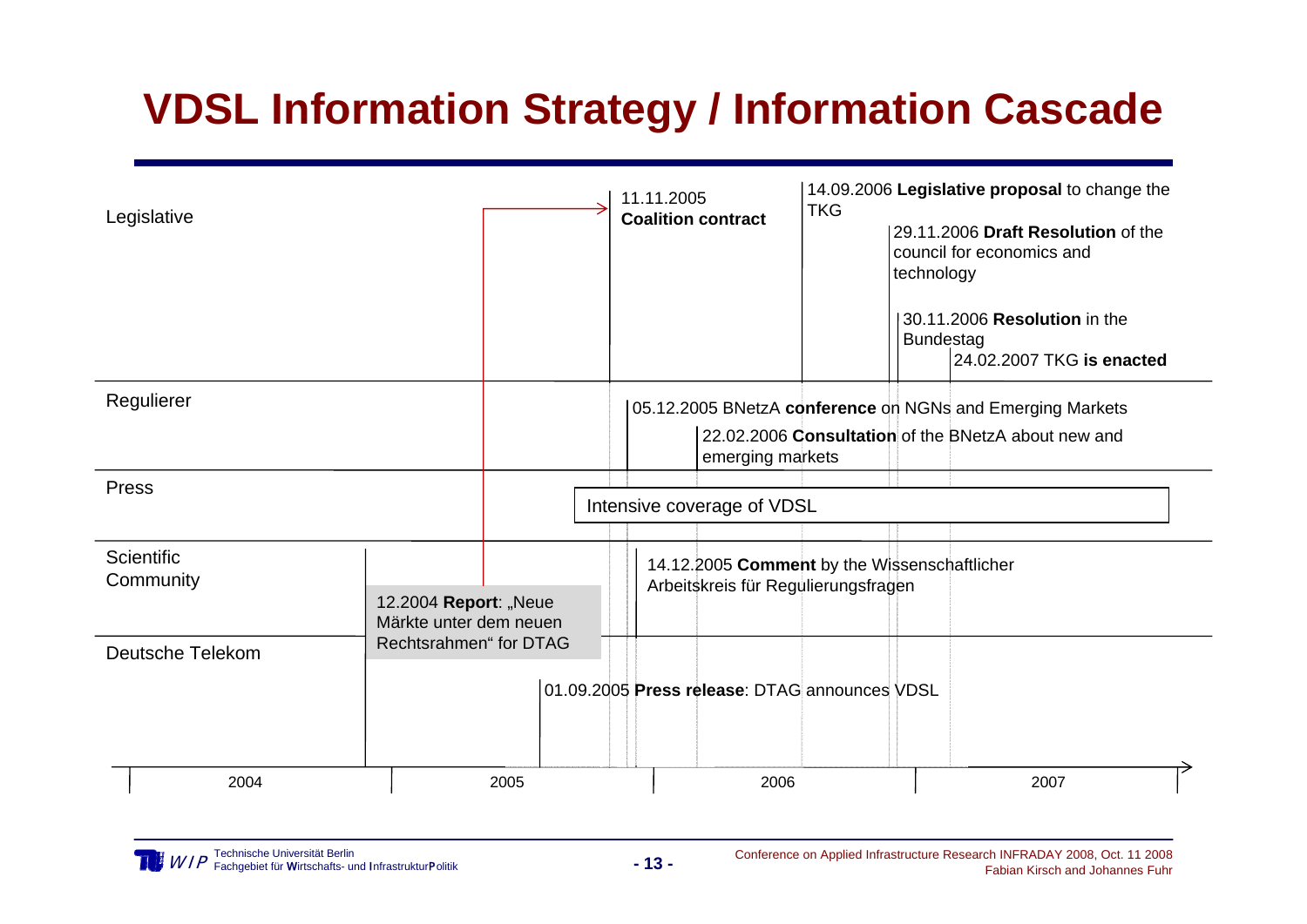## **VDSL Information Strategy / Information Cascade**

| Legislative             |                                                 | 11.11.2005<br><b>Coalition contract</b>                                             | <b>TKG</b> | 14.09.2006 Legislative proposal to change the<br>29.11.2006 Draft Resolution of the<br>council for economics and<br>technology<br>30.11.2006 Resolution in the<br><b>Bundestag</b><br>24.02.2007 TKG is enacted |  |
|-------------------------|-------------------------------------------------|-------------------------------------------------------------------------------------|------------|-----------------------------------------------------------------------------------------------------------------------------------------------------------------------------------------------------------------|--|
| Regulierer              |                                                 | emerging markets                                                                    |            | 05.12.2005 BNetzA conference on NGNs and Emerging Markets<br>22.02.2006 Consultation of the BNetzA about new and                                                                                                |  |
| Press                   |                                                 | Intensive coverage of VDSL                                                          |            |                                                                                                                                                                                                                 |  |
| Scientific<br>Community | 12.2004 Report: "Neue<br>Märkte unter dem neuen | 14.12.2005 Comment by the Wissenschaftlicher<br>Arbeitskreis für Regulierungsfragen |            |                                                                                                                                                                                                                 |  |
| <b>Deutsche Telekom</b> | Rechtsrahmen" for DTAG                          | 01.09.2005 Press release: DTAG announces VDSL                                       |            |                                                                                                                                                                                                                 |  |
| 2004                    | 2005                                            | 2006                                                                                |            | 2007                                                                                                                                                                                                            |  |

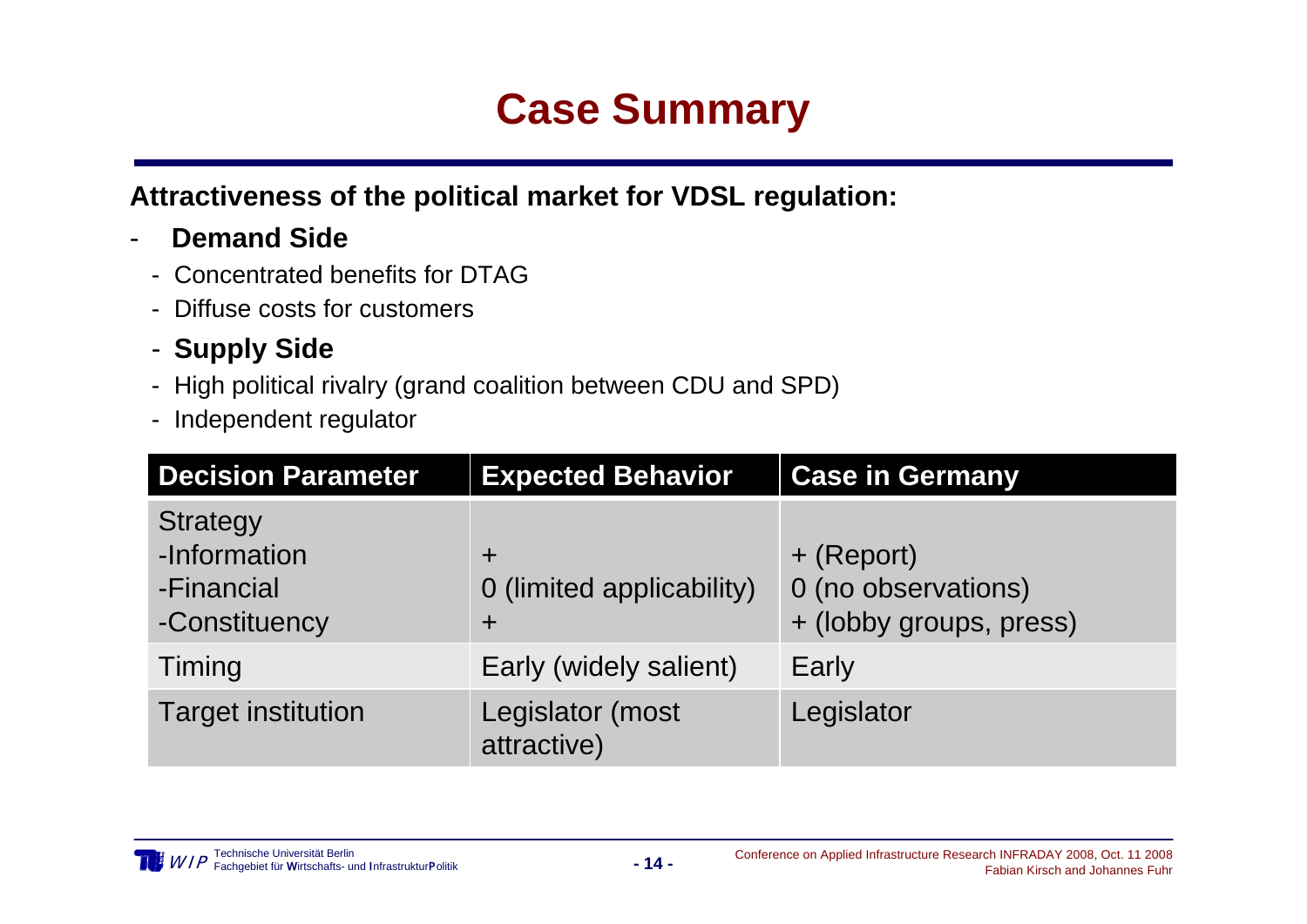### **Case Summary**

**Attractiveness of the political market for VDSL regulation:**

- - **Demand Side**
	- Concentrated benefits for DTAG
	- Diffuse costs for customers
	- **Supply Side**
	- High political rivalry (grand coalition between CDU and SPD)
	- Independent regulator

| <b>Decision Parameter</b>                                      | <b>Expected Behavior</b>                     | <b>Case in Germany</b>                                       |
|----------------------------------------------------------------|----------------------------------------------|--------------------------------------------------------------|
| <b>Strategy</b><br>-Information<br>-Financial<br>-Constituency | $\pm$<br>0 (limited applicability)<br>$\div$ | + (Report)<br>0 (no observations)<br>+ (lobby groups, press) |
| Timing                                                         | Early (widely salient)                       | Early                                                        |
| <b>Target institution</b>                                      | Legislator (most<br>attractive)              | Legislator                                                   |